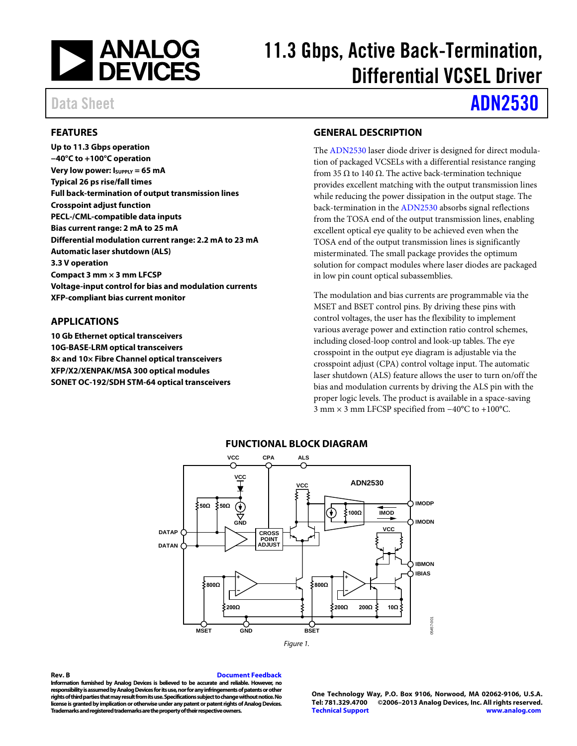

# 11.3 Gbps, Active Back-Termination, Differential VCSEL Driver

# Data Sheet **[ADN2530](http://www.analog.com/ADN2530?doc=ADN2530.pdf)**

## <span id="page-0-0"></span>**FEATURES**

**Up to 11.3 Gbps operation −40°C to +100°C operation Very low power: ISUPPLY = 65 mA Typical 26 ps rise/fall times Full back-termination of output transmission lines Crosspoint adjust function PECL-/CML-compatible data inputs Bias current range: 2 mA to 25 mA Differential modulation current range: 2.2 mA to 23 mA Automatic laser shutdown (ALS) 3.3 V operation Compact 3 mm × 3 mm LFCSP Voltage-input control for bias and modulation currents XFP-compliant bias current monitor**

### <span id="page-0-1"></span>**APPLICATIONS**

<span id="page-0-3"></span>**10 Gb Ethernet optical transceivers 10G-BASE-LRM optical transceivers 8× and 10× Fibre Channel optical transceivers XFP/X2/XENPAK/MSA 300 optical modules SONET OC-192/SDH STM-64 optical transceivers**

## <span id="page-0-2"></span>**GENERAL DESCRIPTION**

The [ADN2530](http://www.analog.com/ADN2530?doc=ADN2530.pdf) laser diode driver is designed for direct modulation of packaged VCSELs with a differential resistance ranging from 35 Ω to 140 Ω. The active back-termination technique provides excellent matching with the output transmission lines while reducing the power dissipation in the output stage. The back-termination in th[e ADN2530](http://www.analog.com/ADN2530?doc=ADN2530.pdf) absorbs signal reflections from the TOSA end of the output transmission lines, enabling excellent optical eye quality to be achieved even when the TOSA end of the output transmission lines is significantly misterminated. The small package provides the optimum solution for compact modules where laser diodes are packaged in low pin count optical subassemblies.

The modulation and bias currents are programmable via the MSET and BSET control pins. By driving these pins with control voltages, the user has the flexibility to implement various average power and extinction ratio control schemes, including closed-loop control and look-up tables. The eye crosspoint in the output eye diagram is adjustable via the crosspoint adjust (CPA) control voltage input. The automatic laser shutdown (ALS) feature allows the user to turn on/off the bias and modulation currents by driving the ALS pin with the proper logic levels. The product is available in a space-saving 3 mm × 3 mm LFCSP specified from −40°C to +100°C.



### **FUNCTIONAL BLOCK DIAGRAM**

#### <span id="page-0-4"></span>**Rev. B [Document Feedback](https://form.analog.com/Form_Pages/feedback/documentfeedback.aspx?doc=ADN2530.pdf&product=ADN2530&rev=B)**

**Information furnished by Analog Devices is believed to be accurate and reliable. However, no responsibility is assumed by Analog Devices for its use, nor for any infringements of patents or other rights of third partiesthat may result from its use. Specifications subject to change without notice. No license is granted by implication or otherwise under any patent or patent rights of Analog Devices. Trademarks and registered trademarks are the property of their respectiveowners.**

**One Technology Way, P.O. Box 9106, Norwood, MA 02062-9106, U.S.A. Tel: 781.329.4700 ©2006–2013 Analog Devices, Inc. All rights reserved. [Technical Support](http://www.analog.com/en/content/technical_support_page/fca.html) [www.analog.com](http://www.analog.com/)**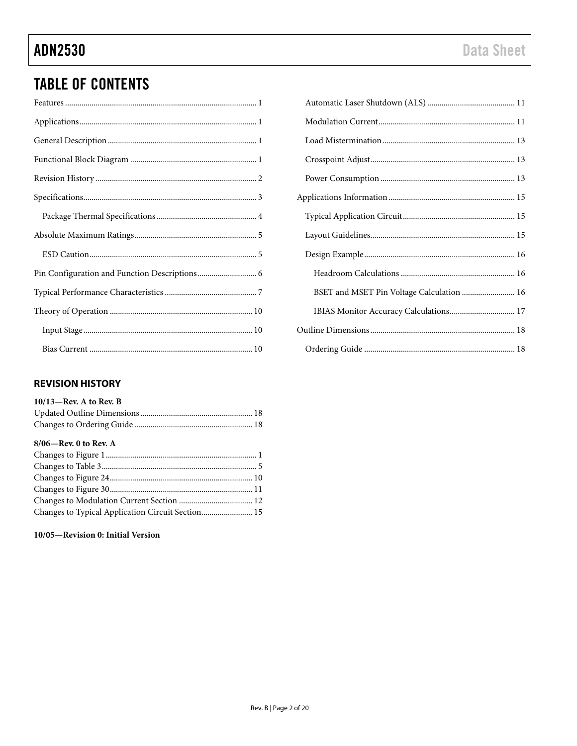# **TABLE OF CONTENTS**

## <span id="page-1-0"></span>**REVISION HISTORY**

| $10/13$ —Rev. A to Rev. B |  |
|---------------------------|--|
|                           |  |
|                           |  |

## 8/06-Rev. 0 to Rev. A

| Changes to Typical Application Circuit Section 15 |  |
|---------------------------------------------------|--|

10/05-Revision 0: Initial Version

| BSET and MSET Pin Voltage Calculation  16 |  |
|-------------------------------------------|--|
| IBIAS Monitor Accuracy Calculations 17    |  |
|                                           |  |
|                                           |  |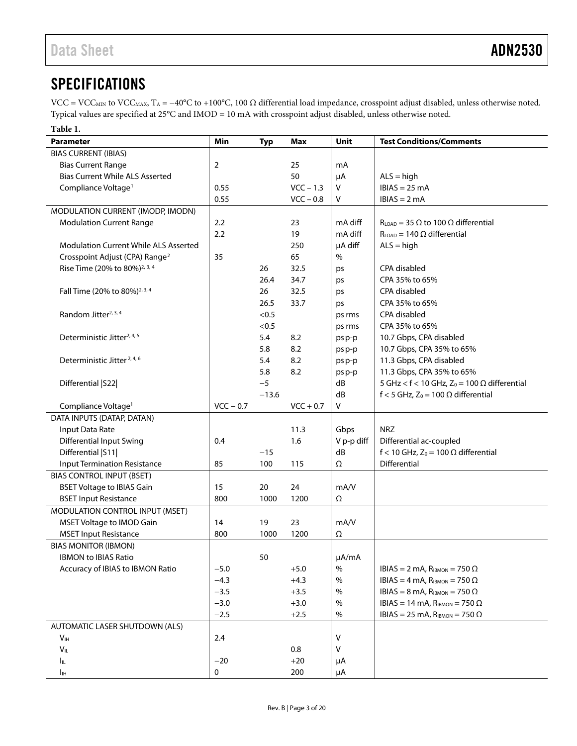# <span id="page-2-0"></span>**SPECIFICATIONS**

VCC = VCC<sub>MIN</sub> to VCC<sub>MAX</sub>, T<sub>A</sub> = −40°C to +100°C, 100  $\Omega$  differential load impedance, crosspoint adjust disabled, unless otherwise noted. Typical values are specified at 25°C and IMOD = 10 mA with crosspoint adjust disabled, unless otherwise noted.

### <span id="page-2-1"></span>**Table 1.**

| <b>Parameter</b>                                                        | Min         | <b>Typ</b>   | Max         | <b>Unit</b>   | <b>Test Conditions/Comments</b>                               |
|-------------------------------------------------------------------------|-------------|--------------|-------------|---------------|---------------------------------------------------------------|
| <b>BIAS CURRENT (IBIAS)</b>                                             |             |              |             |               |                                                               |
| <b>Bias Current Range</b>                                               | 2           |              | 25          | mA            |                                                               |
| <b>Bias Current While ALS Asserted</b>                                  |             |              | 50          | μA            | $ALS = high$                                                  |
| Compliance Voltage <sup>1</sup>                                         | 0.55        |              | $VCC - 1.3$ | v             | $IBIAS = 25 mA$                                               |
|                                                                         | 0.55        |              | $VCC - 0.8$ | V             | $IBIAS = 2 mA$                                                |
| MODULATION CURRENT (IMODP, IMODN)                                       |             |              |             |               |                                                               |
| <b>Modulation Current Range</b>                                         | 2.2         |              | 23          | mA diff       | $R_{LOAD}$ = 35 $\Omega$ to 100 $\Omega$ differential         |
|                                                                         | 2.2         |              | 19          | mA diff       | $R_{LOAD} = 140 \Omega$ differential                          |
| <b>Modulation Current While ALS Asserted</b>                            |             |              | 250         | µA diff       | $ALS = high$                                                  |
| Crosspoint Adjust (CPA) Range <sup>2</sup>                              | 35          |              | 65          | $\frac{0}{0}$ |                                                               |
| Rise Time (20% to 80%) <sup>2, 3, 4</sup>                               |             | 26           | 32.5        | ps            | CPA disabled                                                  |
|                                                                         |             | 26.4         | 34.7        | ps            | CPA 35% to 65%                                                |
| Fall Time (20% to 80%) <sup>2, 3, 4</sup>                               |             | 26           | 32.5        | ps            | CPA disabled                                                  |
|                                                                         |             | 26.5         | 33.7        | ps            | CPA 35% to 65%                                                |
| Random Jitter <sup>2, 3, 4</sup>                                        |             | < 0.5        |             | ps rms        | CPA disabled                                                  |
|                                                                         |             | < 0.5        |             | ps rms        | CPA 35% to 65%                                                |
| Deterministic Jitter <sup>2, 4, 5</sup>                                 |             | 5.4          | 8.2         | psp-p         | 10.7 Gbps, CPA disabled                                       |
|                                                                         |             | 5.8          | 8.2         | ps p-p        | 10.7 Gbps, CPA 35% to 65%                                     |
| Deterministic Jitter <sup>2, 4, 6</sup>                                 |             | 5.4          | 8.2         | ps p-p        | 11.3 Gbps, CPA disabled                                       |
|                                                                         |             | 5.8          | 8.2         | ps p-p        | 11.3 Gbps, CPA 35% to 65%                                     |
| Differential   S22                                                      |             | $-5$         |             | dB            | 5 GHz < f < 10 GHz, $Z_0$ = 100 $\Omega$ differential         |
|                                                                         |             | $-13.6$      |             | dB            | f < 5 GHz, $Z_0$ = 100 $\Omega$ differential                  |
| Compliance Voltage <sup>1</sup>                                         | $VCC - 0.7$ |              | $VCC + 0.7$ | V             |                                                               |
| DATA INPUTS (DATAP, DATAN)                                              |             |              |             |               |                                                               |
| Input Data Rate                                                         |             |              | 11.3        | Gbps          | <b>NRZ</b>                                                    |
| <b>Differential Input Swing</b>                                         | 0.4         |              | 1.6         | V p-p diff    | Differential ac-coupled                                       |
| Differential   S11                                                      | 85          | $-15$<br>100 | 115         | dB<br>Ω       | f < 10 GHz, $Z_0$ = 100 $\Omega$ differential<br>Differential |
| <b>Input Termination Resistance</b><br><b>BIAS CONTROL INPUT (BSET)</b> |             |              |             |               |                                                               |
| <b>BSET Voltage to IBIAS Gain</b>                                       | 15          | 20           | 24          | mA/V          |                                                               |
| <b>BSET Input Resistance</b>                                            | 800         | 1000         | 1200        | Ω             |                                                               |
| MODULATION CONTROL INPUT (MSET)                                         |             |              |             |               |                                                               |
| MSET Voltage to IMOD Gain                                               | 14          | 19           | 23          | mA/V          |                                                               |
| <b>MSET Input Resistance</b>                                            | 800         | 1000         | 1200        | Ω             |                                                               |
| <b>BIAS MONITOR (IBMON)</b>                                             |             |              |             |               |                                                               |
| <b>IBMON to IBIAS Ratio</b>                                             |             | 50           |             | µA/mA         |                                                               |
| Accuracy of IBIAS to IBMON Ratio                                        | $-5.0$      |              | $+5.0$      | $\%$          | IBIAS = 2 mA, $R_{IBMON}$ = 750 $\Omega$                      |
|                                                                         | $-4.3$      |              | $+4.3$      | $\%$          | IBIAS = 4 mA, $R_{IBMON}$ = 750 $\Omega$                      |
|                                                                         | $-3.5$      |              | $+3.5$      | $\%$          | IBIAS = 8 mA, $R_{IBMON}$ = 750 $\Omega$                      |
|                                                                         | $-3.0$      |              | $+3.0$      | $\%$          | IBIAS = 14 mA, $R_{\text{IBMON}} = 750 \Omega$                |
|                                                                         | $-2.5$      |              | $+2.5$      | %             | IBIAS = 25 mA, $R_{\text{IBMON}}$ = 750 $\Omega$              |
| AUTOMATIC LASER SHUTDOWN (ALS)                                          |             |              |             |               |                                                               |
| V <sub>IH</sub>                                                         | 2.4         |              |             | V             |                                                               |
| $V_{IL}$                                                                |             |              | 0.8         | V             |                                                               |
| Iщ.                                                                     | $-20$       |              | $+20$       | μA            |                                                               |
| Iн                                                                      | 0           |              | 200         | μA            |                                                               |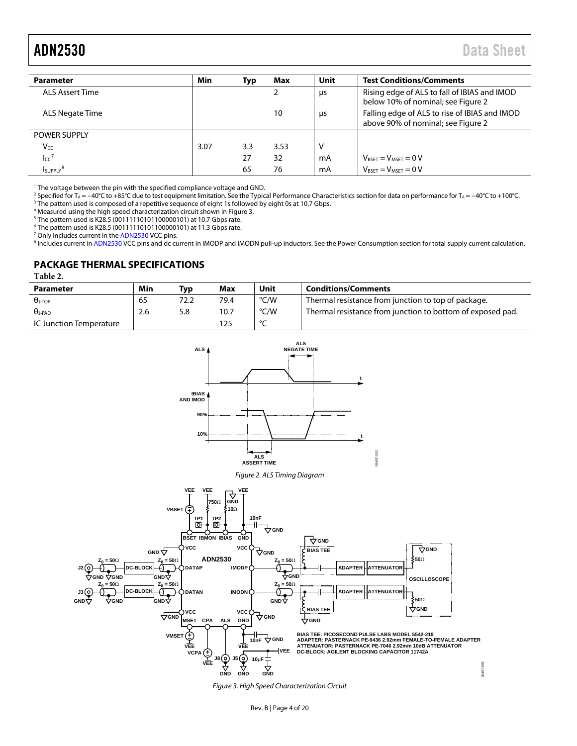05457-003

<span id="page-3-1"></span>

| <b>Parameter</b>       | Min  | Typ | Max  | <b>Unit</b> | <b>Test Conditions/Comments</b>                                                     |
|------------------------|------|-----|------|-------------|-------------------------------------------------------------------------------------|
| <b>ALS Assert Time</b> |      |     |      | μs          | Rising edge of ALS to fall of IBIAS and IMOD<br>below 10% of nominal; see Figure 2  |
| ALS Negate Time        |      |     | 10   | μs          | Falling edge of ALS to rise of IBIAS and IMOD<br>above 90% of nominal; see Figure 2 |
| <b>POWER SUPPLY</b>    |      |     |      |             |                                                                                     |
| Vcc                    | 3.07 | 3.3 | 3.53 | v           |                                                                                     |
| $\mathsf{Icc}^7$       |      | 27  | 32   | mA          | $V_{\text{BSET}} = V_{\text{MSET}} = 0 V$                                           |
| SUPPLY <sup>8</sup>    |      | 65  | 76   | mA          | $V_{RSET} = V_{MSET} = 0 V$                                                         |

<sup>1</sup> The voltage between the pin with the specified compliance voltage and GND.

<sup>2</sup> Specified for T<sub>A</sub> = −40°C to +85°C due to test equipment limitation. See th[e Typical Performance Characteristics](#page-6-0) section for data on performance for T<sub>A</sub> = −40°C to +100°C. <sup>3</sup> The pattern used is composed of a repetitive sequence of eight 1s followed by eight 0s at 10.7 Gbps.

<sup>4</sup> Measured using the high speed characterization circuit shown i[n Figure 3.](#page-3-3)

<sup>5</sup> The pattern used is K28.5 (00111110101100000101) at 10.7 Gbps rate.

<sup>6</sup> The pattern used is K28.5 (00111110101100000101) at 11.3 Gbps rate.

<sup>7</sup> Only includes current in th[e ADN2530](http://www.analog.com/ADN2530?doc=ADN2530.pdf) VCC pins.

8 Includes current i[n ADN2530](http://www.analog.com/ADN2530?doc=ADN2530.pdf) VCC pins and dc current in IMODP and IMODN pull-up inductors. See th[e Power Consumption](#page-12-2) section for total supply current calculation.

### <span id="page-3-0"></span>**PACKAGE THERMAL SPECIFICATIONS**

<span id="page-3-4"></span>**Table 2.**

| Parameter               | Min | Typ  | Max  | Unit   | <b>Conditions/Comments</b>                                 |
|-------------------------|-----|------|------|--------|------------------------------------------------------------|
| $\theta$ j-top          | 65  | 72.2 | 79.4 | °C/W   | Thermal resistance from junction to top of package.        |
| $\theta$ i-pad.         | 2.6 | 5.8  | 10.7 | °C/W   | Thermal resistance from junction to bottom of exposed pad. |
| IC Junction Temperature |     |      |      | $\sim$ |                                                            |





<span id="page-3-2"></span>

<span id="page-3-3"></span>*Figure 3. High Speed Characterization Circuit*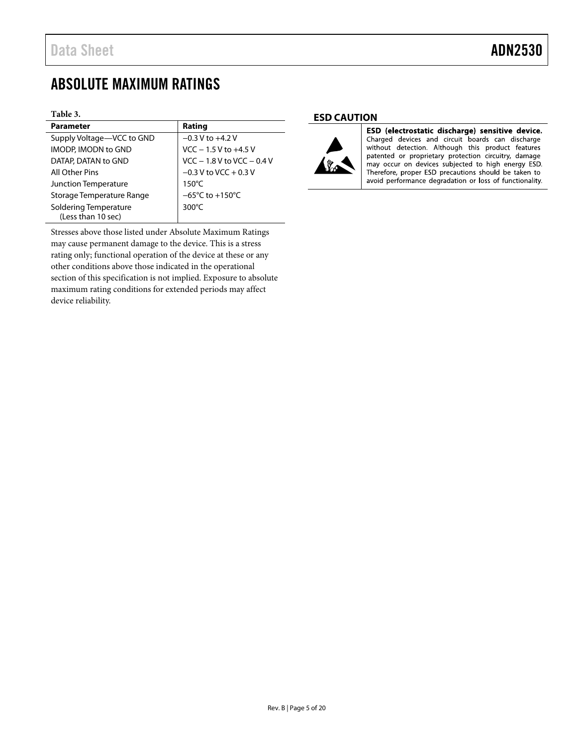# <span id="page-4-0"></span>ABSOLUTE MAXIMUM RATINGS

#### **Table 3.**

| <b>Parameter</b>             | Rating                               |
|------------------------------|--------------------------------------|
| Supply Voltage-VCC to GND    | $-0.3$ V to $+4.2$ V                 |
| IMODP. IMODN to GND          | $VCC - 1.5 V$ to $+4.5 V$            |
| DATAP, DATAN to GND          | $VCC - 1.8 V$ to $VCC - 0.4 V$       |
| All Other Pins               | $-0.3$ V to VCC + 0.3 V              |
| Junction Temperature         | $150^{\circ}$ C                      |
| Storage Temperature Range    | $-65^{\circ}$ C to +150 $^{\circ}$ C |
| <b>Soldering Temperature</b> | $300^{\circ}$ C                      |
| (Less than 10 sec)           |                                      |

Stresses above those listed under Absolute Maximum Ratings may cause permanent damage to the device. This is a stress rating only; functional operation of the device at these or any other conditions above those indicated in the operational section of this specification is not implied. Exposure to absolute maximum rating conditions for extended periods may affect device reliability.

### <span id="page-4-1"></span>**ESD CAUTION**



L

ESD (electrostatic discharge) sensitive device. Charged devices and circuit boards can discharge without detection. Although this product features patented or proprietary protection circuitry, damage may occur on devices subjected to high energy ESD. Therefore, proper ESD precautions should be taken to avoid performance degradation or loss of functionality.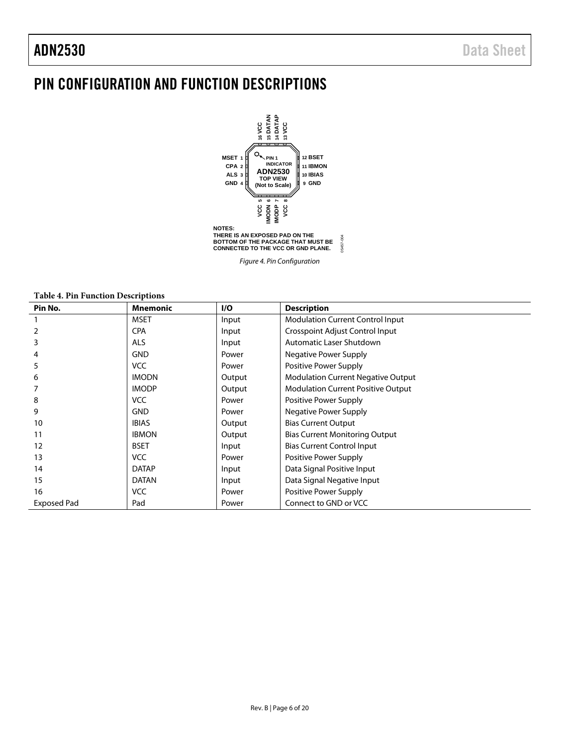# <span id="page-5-0"></span>PIN CONFIGURATION AND FUNCTION DESCRIPTIONS



*Figure 4. Pin Configuration*

**Table 4. Pin Function Descriptions**

| Pin No.            | <b>Mnemonic</b> | I/O    | <b>Description</b>                        |
|--------------------|-----------------|--------|-------------------------------------------|
|                    | <b>MSET</b>     | Input  | <b>Modulation Current Control Input</b>   |
|                    | <b>CPA</b>      | Input  | Crosspoint Adjust Control Input           |
|                    | <b>ALS</b>      | Input  | Automatic Laser Shutdown                  |
| 4                  | <b>GND</b>      | Power  | Negative Power Supply                     |
| 5                  | <b>VCC</b>      | Power  | Positive Power Supply                     |
| 6                  | <b>IMODN</b>    | Output | <b>Modulation Current Negative Output</b> |
|                    | <b>IMODP</b>    | Output | <b>Modulation Current Positive Output</b> |
| 8                  | <b>VCC</b>      | Power  | Positive Power Supply                     |
| 9                  | <b>GND</b>      | Power  | Negative Power Supply                     |
| 10                 | <b>IBIAS</b>    | Output | <b>Bias Current Output</b>                |
| 11                 | <b>IBMON</b>    | Output | <b>Bias Current Monitoring Output</b>     |
| 12                 | <b>BSET</b>     | Input  | <b>Bias Current Control Input</b>         |
| 13                 | <b>VCC</b>      | Power  | Positive Power Supply                     |
| 14                 | <b>DATAP</b>    | Input  | Data Signal Positive Input                |
| 15                 | <b>DATAN</b>    | Input  | Data Signal Negative Input                |
| 16                 | <b>VCC</b>      | Power  | Positive Power Supply                     |
| <b>Exposed Pad</b> | Pad             | Power  | Connect to GND or VCC                     |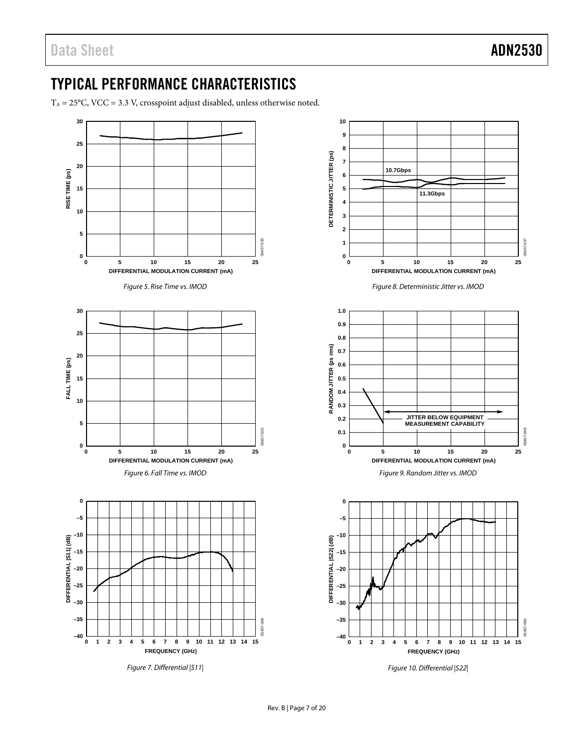# <span id="page-6-0"></span>TYPICAL PERFORMANCE CHARACTERISTICS

 $T_A = 25^{\circ}$ C, VCC = 3.3 V, crosspoint adjust disabled, unless otherwise noted.

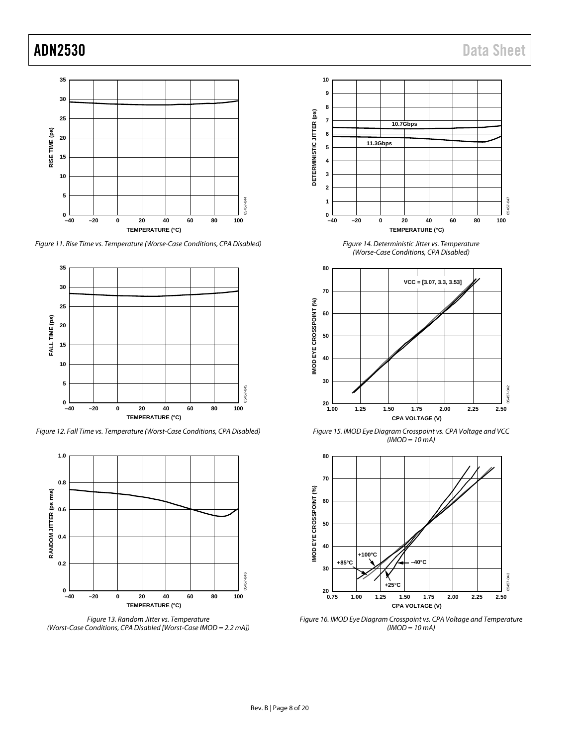

*Figure 11. Rise Time vs. Temperature (Worse-Case Conditions, CPA Disabled)*



*Figure 12. Fall Time vs. Temperature (Worst-Case Conditions, CPA Disabled)*



*(Worst-Case Conditions, CPA Disabled [Worst-Case IMOD = 2.2 mA])*



*Figure 14. Deterministic Jitter vs. Temperature (Worse-Case Conditions, CPA Disabled)*



<span id="page-7-0"></span>*Figure 15. IMOD Eye Diagram Crosspoint vs. CPA Voltage and VCC (IMOD = 10 mA)*



<span id="page-7-1"></span>*Figure 16. IMOD Eye Diagram Crosspoint vs. CPA Voltage and Temperature (IMOD = 10 mA)*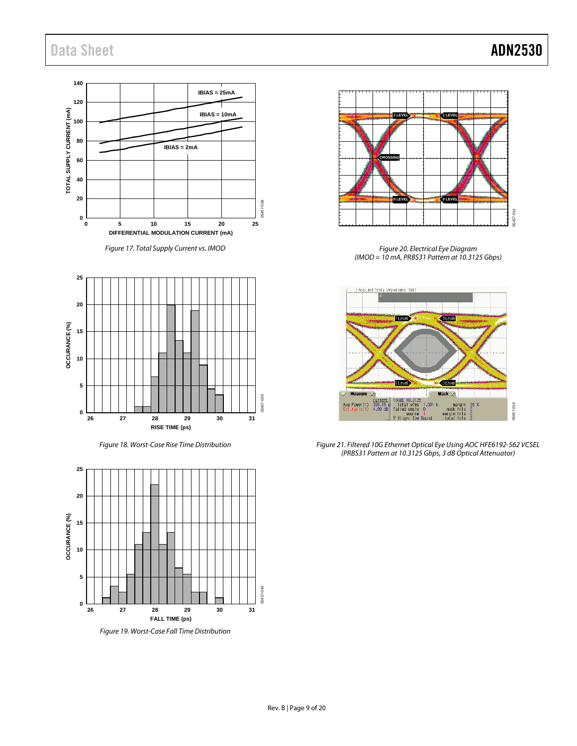

*Figure 17. Total Supply Current vs. IMOD*



*Figure 18. Worst-Case Rise Time Distribution*



*Figure 19. Worst-Case Fall Time Distribution*



*Figure 20. Electrical Eye Diagram (IMOD = 10 mA, PRBS31 Pattern at 10.3125 Gbps)*



*Figure 21. Filtered 10G Ethernet Optical Eye Using AOC HFE6192-562 VCSEL (PRBS31 Pattern at 10.3125 Gbps, 3 dB Optical Attenuator)*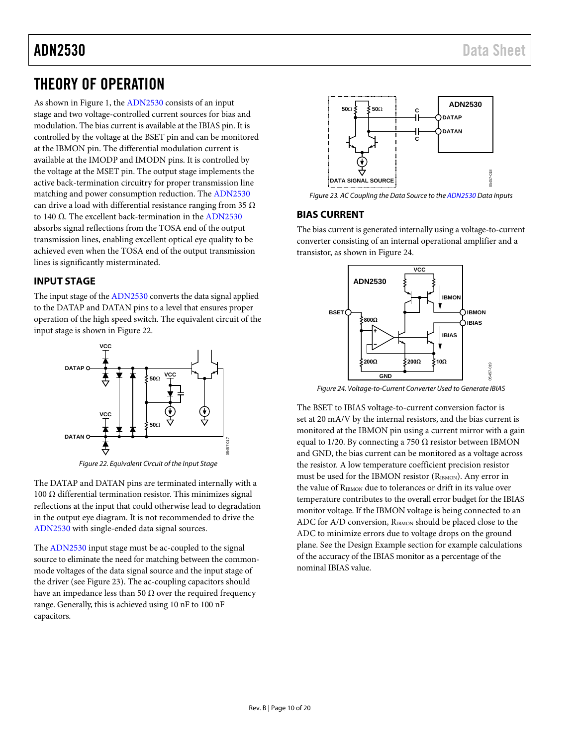# <span id="page-9-0"></span>THEORY OF OPERATION

As shown in [Figure 1,](#page-0-4) th[e ADN2530](http://www.analog.com/ADN2530?doc=ADN2530.pdf) consists of an input stage and two voltage-controlled current sources for bias and modulation. The bias current is available at the IBIAS pin. It is controlled by the voltage at the BSET pin and can be monitored at the IBMON pin. The differential modulation current is available at the IMODP and IMODN pins. It is controlled by the voltage at the MSET pin. The output stage implements the active back-termination circuitry for proper transmission line matching and power consumption reduction. The [ADN2530](http://www.analog.com/ADN2530?doc=ADN2530.pdf) can drive a load with differential resistance ranging from 35  $\Omega$ to 140 Ω. The excellent back-termination in th[e ADN2530](http://www.analog.com/ADN2530?doc=ADN2530.pdf) absorbs signal reflections from the TOSA end of the output transmission lines, enabling excellent optical eye quality to be achieved even when the TOSA end of the output transmission lines is significantly misterminated.

## <span id="page-9-1"></span>**INPUT STAGE**

The input stage of th[e ADN2530](http://www.analog.com/ADN2530?doc=ADN2530.pdf) converts the data signal applied to the DATAP and DATAN pins to a level that ensures proper operation of the high speed switch. The equivalent circuit of the input stage is shown i[n Figure 22.](#page-9-3)



*Figure 22. Equivalent Circuit of the Input Stage*

<span id="page-9-3"></span>The DATAP and DATAN pins are terminated internally with a 100 Ω differential termination resistor. This minimizes signal reflections at the input that could otherwise lead to degradation in the output eye diagram. It is not recommended to drive the [ADN2530](http://www.analog.com/ADN2530?doc=ADN2530.pdf) with single-ended data signal sources.

The [ADN2530](http://www.analog.com/ADN2530?doc=ADN2530.pdf) input stage must be ac-coupled to the signal source to eliminate the need for matching between the commonmode voltages of the data signal source and the input stage of the driver (se[e Figure 23\)](#page-9-4). The ac-coupling capacitors should have an impedance less than 50  $\Omega$  over the required frequency range. Generally, this is achieved using 10 nF to 100 nF capacitors.



<span id="page-9-4"></span>*Figure 23. AC Coupling the Data Source to th[e ADN2530](http://www.analog.com/ADN2530?doc=ADN2530.pdf) Data Inputs*

## <span id="page-9-2"></span>**BIAS CURRENT**

The bias current is generated internally using a voltage-to-current converter consisting of an internal operational amplifier and a transistor, as shown i[n Figure 24.](#page-9-5)



<span id="page-9-5"></span>*Figure 24. Voltage-to-Current Converter Used to Generate IBIAS*

The BSET to IBIAS voltage-to-current conversion factor is set at 20 mA/V by the internal resistors, and the bias current is monitored at the IBMON pin using a current mirror with a gain equal to 1/20. By connecting a 750  $\Omega$  resistor between IBMON and GND, the bias current can be monitored as a voltage across the resistor. A low temperature coefficient precision resistor must be used for the IBMON resistor (RIBMON). Any error in the value of RIBMON due to tolerances or drift in its value over temperature contributes to the overall error budget for the IBIAS monitor voltage. If the IBMON voltage is being connected to an ADC for A/D conversion, R<sub>IBMON</sub> should be placed close to the ADC to minimize errors due to voltage drops on the ground plane. See the [Design Example](#page-15-0) section for example calculations of the accuracy of the IBIAS monitor as a percentage of the nominal IBIAS value.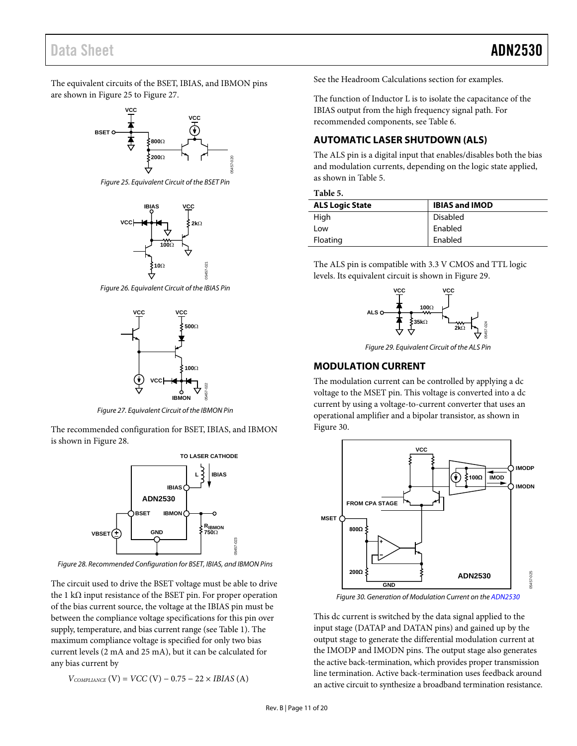## Data Sheet **ADN2530**

The equivalent circuits of the BSET, IBIAS, and IBMON pins are shown i[n Figure 25](#page-10-2) t[o Figure 27.](#page-10-3)



<span id="page-10-2"></span>*Figure 25. Equivalent Circuit of the BSET Pin*



*Figure 26. Equivalent Circuit of the IBIAS Pin*



*Figure 27. Equivalent Circuit of the IBMON Pin*

<span id="page-10-3"></span>The recommended configuration for BSET, IBIAS, and IBMON is shown in [Figure 28.](#page-10-4)



<span id="page-10-4"></span>*Figure 28. Recommended Configuration for BSET, IBIAS, and IBMON Pins*

The circuit used to drive the BSET voltage must be able to drive the 1 kΩ input resistance of the BSET pin. For proper operation of the bias current source, the voltage at the IBIAS pin must be between the compliance voltage specifications for this pin over supply, temperature, and bias current range (se[e Table 1\)](#page-2-1). The maximum compliance voltage is specified for only two bias current levels (2 mA and 25 mA), but it can be calculated for any bias current by

$$
V_{COMPLANCE} (V) = VCC (V) - 0.75 - 22 \times IBIAS (A)
$$

See the [Headroom Calculations](#page-15-1) section for examples.

The function of Inductor L is to isolate the capacitance of the IBIAS output from the high frequency signal path. For recommended components, see [Table 6.](#page-14-3)

## <span id="page-10-0"></span>**AUTOMATIC LASER SHUTDOWN (ALS)**

The ALS pin is a digital input that enables/disables both the bias and modulation currents, depending on the logic state applied, as shown i[n Table 5.](#page-10-5)

<span id="page-10-5"></span>

| <b>ALS Logic State</b> | <b>IBIAS and IMOD</b> |
|------------------------|-----------------------|
| High                   | <b>Disabled</b>       |
| Low                    | Enabled               |
| Floating               | Enabled               |

The ALS pin is compatible with 3.3 V CMOS and TTL logic levels. Its equivalent circuit is shown i[n Figure 29.](#page-10-6)



*Figure 29. Equivalent Circuit of the ALS Pin*

## <span id="page-10-6"></span><span id="page-10-1"></span>**MODULATION CURRENT**

The modulation current can be controlled by applying a dc voltage to the MSET pin. This voltage is converted into a dc current by using a voltage-to-current converter that uses an operational amplifier and a bipolar transistor, as shown in [Figure 30.](#page-10-7)



*Figure 30. Generation of Modulation Current on th[e ADN2530](http://www.analog.com/ADN2530?doc=ADN2530.pdf)*

<span id="page-10-7"></span>This dc current is switched by the data signal applied to the input stage (DATAP and DATAN pins) and gained up by the output stage to generate the differential modulation current at the IMODP and IMODN pins. The output stage also generates the active back-termination, which provides proper transmission line termination. Active back-termination uses feedback around an active circuit to synthesize a broadband termination resistance.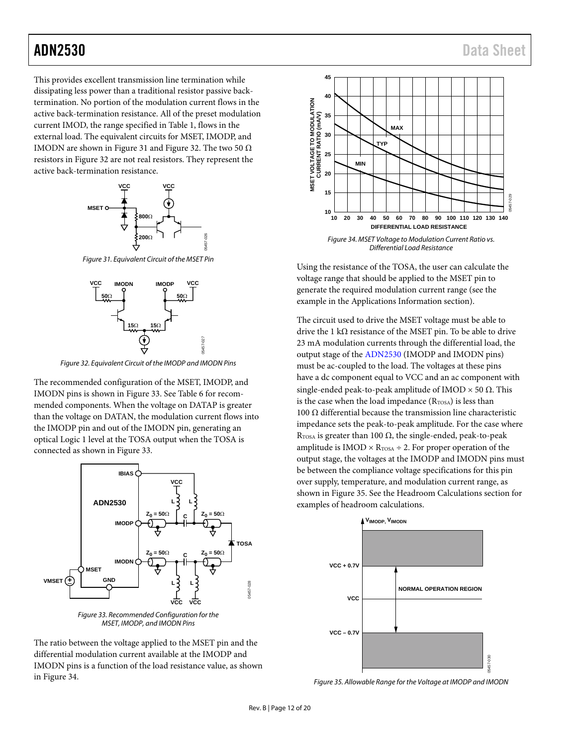This provides excellent transmission line termination while dissipating less power than a traditional resistor passive backtermination. No portion of the modulation current flows in the active back-termination resistance. All of the preset modulation current IMOD, the range specified in [Table 1,](#page-2-1) flows in the external load. The equivalent circuits for MSET, IMODP, and IMODN are shown i[n Figure 31](#page-11-0) an[d Figure 32.](#page-11-1) The two 50  $\Omega$ resistors i[n Figure 32](#page-11-1) are not real resistors. They represent the active back-termination resistance.



<span id="page-11-0"></span>*Figure 31. Equivalent Circuit of the MSET Pin*

05457-026



*Figure 32. Equivalent Circuit of the IMODP and IMODN Pins*

<span id="page-11-1"></span>The recommended configuration of the MSET, IMODP, and IMODN pins is shown in [Figure 33.](#page-11-2) See [Table 6](#page-14-3) for recommended components. When the voltage on DATAP is greater than the voltage on DATAN, the modulation current flows into the IMODP pin and out of the IMODN pin, generating an optical Logic 1 level at the TOSA output when the TOSA is connected as shown in [Figure 33.](#page-11-2)





<span id="page-11-2"></span>The ratio between the voltage applied to the MSET pin and the differential modulation current available at the IMODP and IMODN pins is a function of the load resistance value, as shown in [Figure 34.](#page-11-3)



*Differential Load Resistance*

<span id="page-11-3"></span>Using the resistance of the TOSA, the user can calculate the voltage range that should be applied to the MSET pin to generate the required modulation current range (see the example in the [Applications Information](#page-14-0) section).

The circuit used to drive the MSET voltage must be able to drive the 1 k $\Omega$  resistance of the MSET pin. To be able to drive 23 mA modulation currents through the differential load, the output stage of th[e ADN2530](http://www.analog.com/ADN2530?doc=ADN2530.pdf) (IMODP and IMODN pins) must be ac-coupled to the load. The voltages at these pins have a dc component equal to VCC and an ac component with single-ended peak-to-peak amplitude of IMOD  $\times$  50 Ω. This is the case when the load impedance  $(R_{TOSA})$  is less than 100 Ω differential because the transmission line characteristic impedance sets the peak-to-peak amplitude. For the case where RTOSA is greater than 100  $\Omega$ , the single-ended, peak-to-peak amplitude is  $IMOD \times R_{TOSA} \div 2$ . For proper operation of the output stage, the voltages at the IMODP and IMODN pins must be between the compliance voltage specifications for this pin over supply, temperature, and modulation current range, as shown in [Figure](#page-11-4) 35. See the [Headroom Calculations](#page-15-1) section for examples of headroom calculations.



<span id="page-11-4"></span>*Figure 35. Allowable Range for the Voltage at IMODP and IMODN*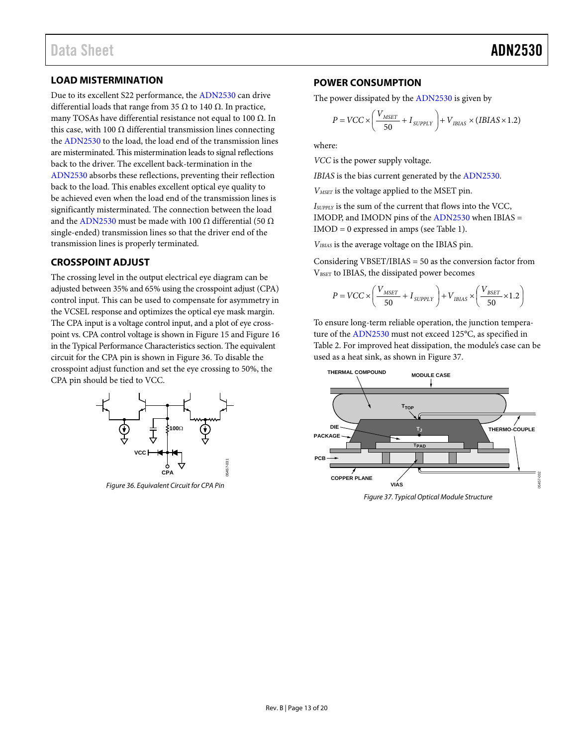## <span id="page-12-0"></span>**LOAD MISTERMINATION**

Due to its excellent S22 performance, th[e ADN2530](http://www.analog.com/ADN2530?doc=ADN2530.pdf) can drive differential loads that range from 35 Ω to 140 Ω. In practice, many TOSAs have differential resistance not equal to 100  $\Omega$ . In this case, with 100  $Ω$  differential transmission lines connecting the [ADN2530](http://www.analog.com/ADN2530?doc=ADN2530.pdf) to the load, the load end of the transmission lines are misterminated. This mistermination leads to signal reflections back to the driver. The excellent back-termination in the [ADN2530](http://www.analog.com/ADN2530?doc=ADN2530.pdf) absorbs these reflections, preventing their reflection back to the load. This enables excellent optical eye quality to be achieved even when the load end of the transmission lines is significantly misterminated. The connection between the load and th[e ADN2530](http://www.analog.com/ADN2530?doc=ADN2530.pdf) must be made with 100  $\Omega$  differential (50  $\Omega$ ) single-ended) transmission lines so that the driver end of the transmission lines is properly terminated.

## <span id="page-12-1"></span>**CROSSPOINT ADJUST**

The crossing level in the output electrical eye diagram can be adjusted between 35% and 65% using the crosspoint adjust (CPA) control input. This can be used to compensate for asymmetry in the VCSEL response and optimizes the optical eye mask margin. The CPA input is a voltage control input, and a plot of eye crosspoint vs. CPA control voltage is shown i[n Figure 15](#page-7-0) an[d Figure 16](#page-7-1) in th[e Typical Performance Characteristics](#page-6-0) section. The equivalent circuit for the CPA pin is shown i[n Figure 36.](#page-12-3) To disable the crosspoint adjust function and set the eye crossing to 50%, the CPA pin should be tied to VCC.



<span id="page-12-3"></span>*Figure 36. Equivalent Circuit for CPA Pin*

## <span id="page-12-2"></span>**POWER CONSUMPTION**

The power dissipated by th[e ADN2530](http://www.analog.com/ADN2530?doc=ADN2530.pdf) is given by

$$
P = VCC \times \left(\frac{V_{MSET}}{50} + I_{SUPPLY}\right) + V_{IBIAS} \times (IBIAS \times 1.2)
$$

where:

*VCC* is the power supply voltage.

*IBIAS* is the bias current generated by th[e ADN2530.](http://www.analog.com/ADN2530?doc=ADN2530.pdf)

*VMSET* is the voltage applied to the MSET pin.

*ISUPPLY* is the sum of the current that flows into the VCC, IMODP, and IMODN pins of the [ADN2530](http://www.analog.com/ADN2530?doc=ADN2530.pdf) when IBIAS = IMOD = 0 expressed in amps (se[e Table 1\)](#page-2-1).

*VIBIAS* is the average voltage on the IBIAS pin.

Considering VBSET/IBIAS = 50 as the conversion factor from VBSET to IBIAS, the dissipated power becomes

$$
P = VCC \times \left(\frac{V_{MSET}}{50} + I_{\text{SUPPLY}}\right) + V_{IBIAS} \times \left(\frac{V_{\text{BSET}}}{50} \times 1.2\right)
$$

To ensure long-term reliable operation, the junction temperature of th[e ADN2530](http://www.analog.com/ADN2530?doc=ADN2530.pdf) must not exceed 125°C, as specified in [Table 2.](#page-3-4) For improved heat dissipation, the module's case can be used as a heat sink, as shown in [Figure 37.](#page-12-4) 



<span id="page-12-4"></span>*Figure 37. Typical Optical Module Structure*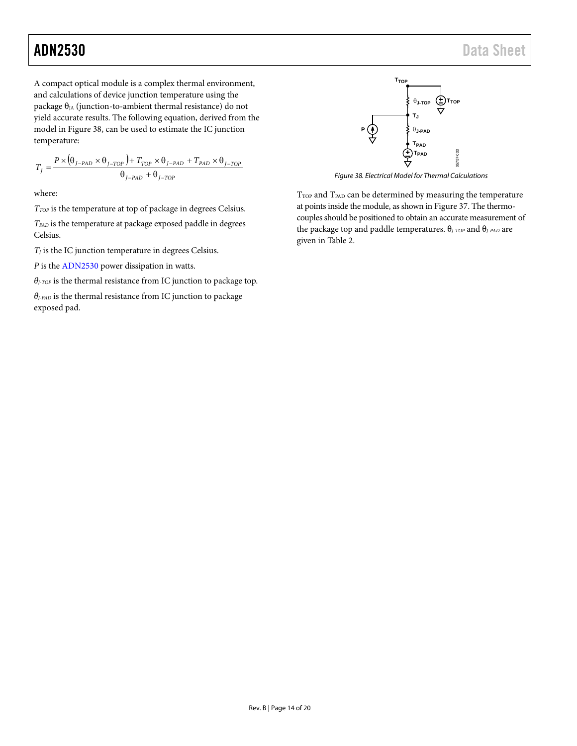$\overline{1}$ 

A compact optical module is a complex thermal environment, and calculations of device junction temperature using the package  $\theta_{JA}$  (junction-to-ambient thermal resistance) do not yield accurate results. The following equation, derived from the model in [Figure 38,](#page-13-0) can be used to estimate the IC junction temperature:

$$
T_{J} = \frac{P \times (\theta_{J-PAD} \times \theta_{J-TOP}) + T_{TOP} \times \theta_{J-PAD} + T_{PAD} \times \theta_{J-TOP}}{\theta_{J-PAD} + \theta_{J-TOP}}
$$

where:

*TTOP* is the temperature at top of package in degrees Celsius.

*TPAD* is the temperature at package exposed paddle in degrees Celsius.

 $T_J$  is the IC junction temperature in degrees Celsius.

*P* is the [ADN2530](http://www.analog.com/ADN2530?doc=ADN2530.pdf) power dissipation in watts.

*θJ-TOP* is the thermal resistance from IC junction to package top.

*θJ-PAD* is the thermal resistance from IC junction to package exposed pad.



*Figure 38. Electrical Model for Thermal Calculations*

<span id="page-13-0"></span> $T<sub>TOP</sub>$  and  $T<sub>PAD</sub>$  can be determined by measuring the temperature at points inside the module, as shown i[n Figure 37.](#page-12-4) The thermocouples should be positioned to obtain an accurate measurement of the package top and paddle temperatures. θ*J-TOP* and θ*J-PAD* are given i[n Table 2.](#page-3-4)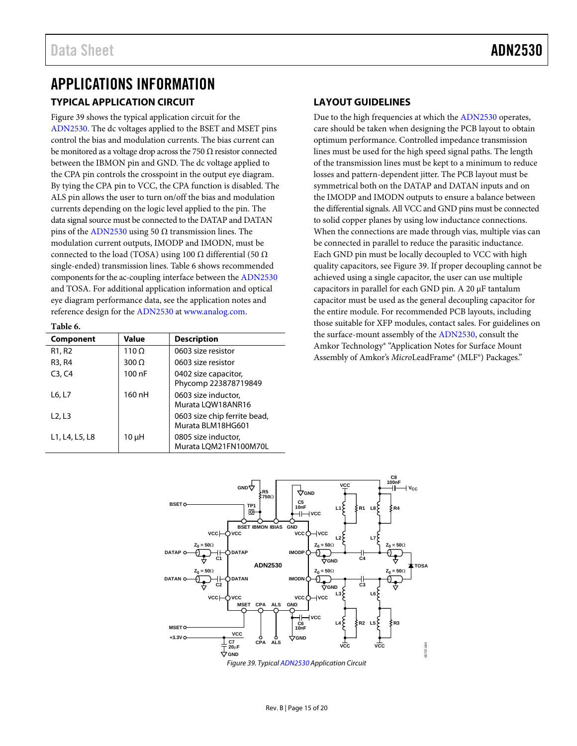# <span id="page-14-1"></span><span id="page-14-0"></span>APPLICATIONS INFORMATION **TYPICAL APPLICATION CIRCUIT**

[Figure 39](#page-14-4) shows the typical application circuit for the [ADN2530.](http://www.analog.com/ADN2530?doc=ADN2530.pdf) The dc voltages applied to the BSET and MSET pins control the bias and modulation currents. The bias current can be monitored as a voltage drop across the 750  $\Omega$  resistor connected between the IBMON pin and GND. The dc voltage applied to the CPA pin controls the crosspoint in the output eye diagram. By tying the CPA pin to VCC, the CPA function is disabled. The ALS pin allows the user to turn on/off the bias and modulation currents depending on the logic level applied to the pin. The data signal source must be connected to the DATAP and DATAN pins of the [ADN2530](http://www.analog.com/ADN2530?doc=ADN2530.pdf) using 50  $\Omega$  transmission lines. The modulation current outputs, IMODP and IMODN, must be connected to the load (TOSA) using 100  $\Omega$  differential (50  $\Omega$ ) single-ended) transmission lines. [Table 6](#page-14-3) shows recommended components for the ac-coupling interface between the [ADN2530](http://www.analog.com/ADN2530?doc=ADN2530.pdf) and TOSA. For additional application information and optical eye diagram performance data, see the application notes and reference design for the [ADN2530](http://www.analog.com/ADN2530?doc=ADN2530.pdf) at [www.analog.com.](http://www.analog.com/?doc=ADN2530.pdf)

#### <span id="page-14-3"></span>**Table 6.**

| <b>Component</b>                | Value        | <b>Description</b>                                |
|---------------------------------|--------------|---------------------------------------------------|
| R <sub>1</sub> , R <sub>2</sub> | $110 \Omega$ | 0603 size resistor                                |
| R3, R4                          | $300 \Omega$ | 0603 size resistor                                |
| C3, C4                          | 100 nF       | 0402 size capacitor,<br>Phycomp 223878719849      |
| L6, L7                          | 160 nH       | 0603 size inductor,<br>Murata LQW18ANR16          |
| L2, L3                          |              | 0603 size chip ferrite bead,<br>Murata BLM18HG601 |
| L1, L4, L5, L8                  | 10 µH        | 0805 size inductor,<br>Murata LQM21FN100M70L      |

## <span id="page-14-2"></span>**LAYOUT GUIDELINES**

Due to the high frequencies at which the [ADN2530](http://www.analog.com/ADN2530?doc=ADN2530.pdf) operates, care should be taken when designing the PCB layout to obtain optimum performance. Controlled impedance transmission lines must be used for the high speed signal paths. The length of the transmission lines must be kept to a minimum to reduce losses and pattern-dependent jitter. The PCB layout must be symmetrical both on the DATAP and DATAN inputs and on the IMODP and IMODN outputs to ensure a balance between the differential signals. All VCC and GND pins must be connected to solid copper planes by using low inductance connections. When the connections are made through vias, multiple vias can be connected in parallel to reduce the parasitic inductance. Each GND pin must be locally decoupled to VCC with high quality capacitors, see [Figure 39.](#page-14-4) If proper decoupling cannot be achieved using a single capacitor, the user can use multiple capacitors in parallel for each GND pin. A 20 µF tantalum capacitor must be used as the general decoupling capacitor for the entire module. For recommended PCB layouts, including those suitable for XFP modules, contact sales. For guidelines on the surface-mount assembly of th[e ADN2530,](http://www.analog.com/ADN2530?doc=ADN2530.pdf) consult the Amkor Technology® "Application Notes for Surface Mount Assembly of Amkor's *Micro*LeadFrame® (MLF®) Packages."

<span id="page-14-4"></span>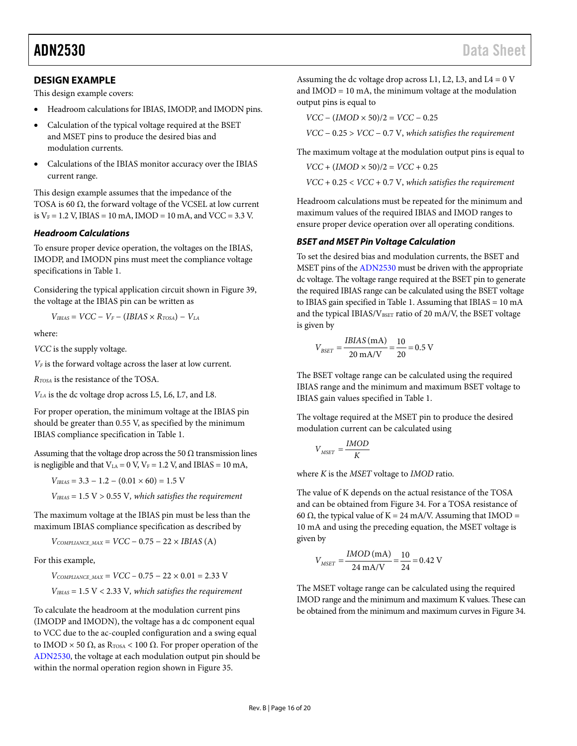## <span id="page-15-0"></span>**DESIGN EXAMPLE**

This design example covers:

- Headroom calculations for IBIAS, IMODP, and IMODN pins.
- Calculation of the typical voltage required at the BSET and MSET pins to produce the desired bias and modulation currents.
- Calculations of the IBIAS monitor accuracy over the IBIAS current range.

This design example assumes that the impedance of the TOSA is 60  $\Omega$ , the forward voltage of the VCSEL at low current is  $V_F = 1.2$  V, IBIAS = 10 mA, IMOD = 10 mA, and VCC = 3.3 V.

#### <span id="page-15-1"></span>*Headroom Calculations*

To ensure proper device operation, the voltages on the IBIAS, IMODP, and IMODN pins must meet the compliance voltage specifications i[n Table 1.](#page-2-1)

Considering the typical application circuit shown in [Figure 39,](#page-14-4)  the voltage at the IBIAS pin can be written as

$$
V_{IBIAS} = VCC - V_F - (IBIAS \times R_{TOSA}) - V_{LA}
$$

where:

*VCC* is the supply voltage.

*VF* is the forward voltage across the laser at low current.

*RTOSA* is the resistance of the TOSA.

*VLA* is the dc voltage drop across L5, L6, L7, and L8.

For proper operation, the minimum voltage at the IBIAS pin should be greater than 0.55 V, as specified by the minimum IBIAS compliance specification i[n Table 1.](#page-2-1)

Assuming that the voltage drop across the 50  $\Omega$  transmission lines is negligible and that  $V_{LA} = 0$  V,  $V_F = 1.2$  V, and IBIAS = 10 mA,

 $V_{IBIAS} = 3.3 - 1.2 - (0.01 \times 60) = 1.5$  V

*VIBIAS* = 1.5 V > 0.55 V*, which satisfies the requirement*

The maximum voltage at the IBIAS pin must be less than the maximum IBIAS compliance specification as described by

 $V_{COMPLIANCE MAX} = VCC - 0.75 - 22 \times IBIAS$  (A)

For this example,

 $V_{COMPLIANCE\_MAX}$  =  $VCC - 0.75 - 22 \times 0.01 = 2.33$  V *VIBIAS* = 1.5 V < 2.33 V*, which satisfies the requirement*

To calculate the headroom at the modulation current pins (IMODP and IMODN), the voltage has a dc component equal to VCC due to the ac-coupled configuration and a swing equal to IMOD  $\times$  50 Ω, as R<sub>TOSA</sub> < 100 Ω. For proper operation of the [ADN2530,](http://www.analog.com/ADN2530?doc=ADN2530.pdf) the voltage at each modulation output pin should be within the normal operation region shown i[n Figure](#page-11-4) 35.

Assuming the dc voltage drop across L1, L2, L3, and L4 =  $0 \text{ V}$ and  $IMOD = 10$  mA, the minimum voltage at the modulation output pins is equal to

$$
VCC - (IMOD \times 50)/2 = VCC - 0.25
$$

*VCC* − 0.25 > *VCC* − 0.7 V, *which satisfies the requirement*

The maximum voltage at the modulation output pins is equal to

$$
VCC + (IMOD \times 50)/2 = VCC + 0.25
$$

*VCC* + 0.25 < *VCC* + 0.7 V, *which satisfies the requirement*

Headroom calculations must be repeated for the minimum and maximum values of the required IBIAS and IMOD ranges to ensure proper device operation over all operating conditions.

#### <span id="page-15-2"></span>*BSET and MSET Pin Voltage Calculation*

To set the desired bias and modulation currents, the BSET and MSET pins of th[e ADN2530](http://www.analog.com/ADN2530?doc=ADN2530.pdf) must be driven with the appropriate dc voltage. The voltage range required at the BSET pin to generate the required IBIAS range can be calculated using the BSET voltage to IBIAS gain specified i[n Table 1.](#page-2-1) Assuming that IBIAS = 10 mA and the typical IBIAS/VBSET ratio of 20 mA/V, the BSET voltage is given by

$$
V_{BSET} = \frac{IBIAS \text{ (mA)}}{20 \text{ mA/V}} = \frac{10}{20} = 0.5 \text{ V}
$$

The BSET voltage range can be calculated using the required IBIAS range and the minimum and maximum BSET voltage to IBIAS gain values specified i[n Table 1.](#page-2-1)

The voltage required at the MSET pin to produce the desired modulation current can be calculated using

$$
V_{MSET} = \frac{IMOD}{K}
$$

where *K* is the *MSET* voltage to *IMOD* ratio.

The value of K depends on the actual resistance of the TOSA and can be obtained fro[m Figure 34.](#page-11-3) For a TOSA resistance of 60  $\Omega$ , the typical value of K = 24 mA/V. Assuming that IMOD = 10 mA and using the preceding equation, the MSET voltage is given by

$$
V_{MSET} = \frac{IMOD \, (mA)}{24 \, mA/V} = \frac{10}{24} = 0.42 \, V
$$

The MSET voltage range can be calculated using the required IMOD range and the minimum and maximum K values. These can be obtained from the minimum and maximum curves i[n Figure 34.](#page-11-3)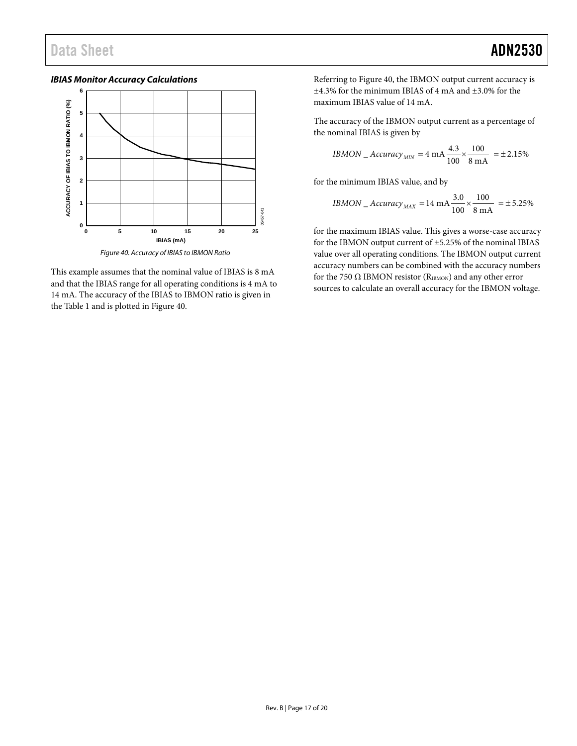<span id="page-16-0"></span>*IBIAS Monitor Accuracy Calculations*



*Figure 40. Accuracy of IBIAS to IBMON Ratio*

<span id="page-16-1"></span>This example assumes that the nominal value of IBIAS is 8 mA and that the IBIAS range for all operating conditions is 4 mA to 14 mA. The accuracy of the IBIAS to IBMON ratio is given in the [Table 1](#page-2-1) and is plotted i[n Figure 40.](#page-16-1)

Referring to [Figure 40,](#page-16-1) the IBMON output current accuracy is ±4.3% for the minimum IBIAS of 4 mA and ±3.0% for the maximum IBIAS value of 14 mA.

The accuracy of the IBMON output current as a percentage of the nominal IBIAS is given by

*IBMON* \_ *Accuracy*<sub>*MIN*</sub> = 4 mA 
$$
\frac{4.3}{100} \times \frac{100}{8 \text{ mA}}
$$
 = ±2.15%

for the minimum IBIAS value, and by

$$
IBMON\_Accuracy_{MAX} = 14 \text{ mA} \frac{3.0}{100} \times \frac{100}{8 \text{ mA}} = \pm 5.25\%
$$

for the maximum IBIAS value. This gives a worse-case accuracy for the IBMON output current of ±5.25% of the nominal IBIAS value over all operating conditions. The IBMON output current accuracy numbers can be combined with the accuracy numbers for the 750  $\Omega$  IBMON resistor (RIBMON) and any other error sources to calculate an overall accuracy for the IBMON voltage.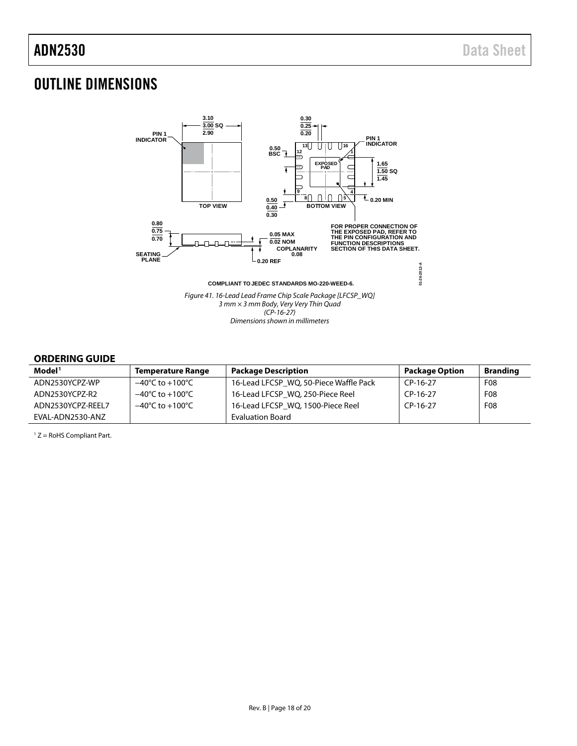## <span id="page-17-0"></span>OUTLINE DIMENSIONS



### <span id="page-17-1"></span>**ORDERING GUIDE**

| Model <sup>1</sup> | <b>Temperature Range</b>            | <b>Package Description</b>             | <b>Package Option</b> | <b>Branding</b> |
|--------------------|-------------------------------------|----------------------------------------|-----------------------|-----------------|
| ADN2530YCPZ-WP     | $-40^{\circ}$ C to $+100^{\circ}$ C | 16-Lead LFCSP WO, 50-Piece Waffle Pack | CP-16-27              | F08             |
| ADN2530YCPZ-R2     | $-40^{\circ}$ C to $+100^{\circ}$ C | 16-Lead LFCSP WO, 250-Piece Reel       | $CP-16-27$            | F <sub>08</sub> |
| ADN2530YCPZ-REEL7  | $-40^{\circ}$ C to $+100^{\circ}$ C | 16-Lead LFCSP_WQ, 1500-Piece Reel      | $CP-16-27$            | F <sub>08</sub> |
| EVAL-ADN2530-ANZ   |                                     | <b>Evaluation Board</b>                |                       |                 |

 $1 Z =$  RoHS Compliant Part.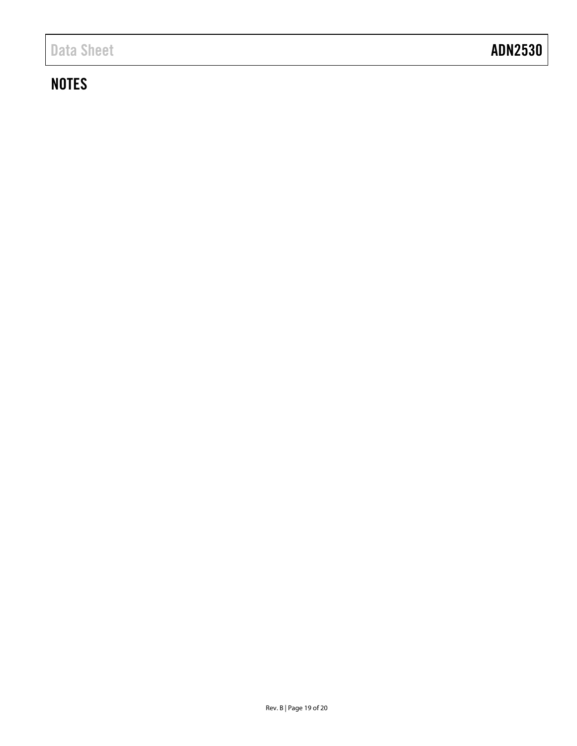# **NOTES**